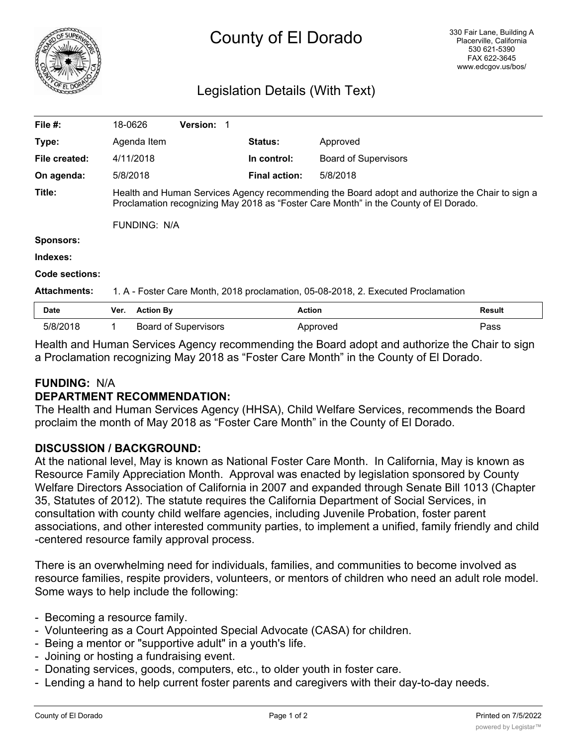

# County of El Dorado

# Legislation Details (With Text)

| File $#$ :          | 18-0626                                                                                                                                                                                 |                  | <b>Version:</b>             |                      |                             |        |
|---------------------|-----------------------------------------------------------------------------------------------------------------------------------------------------------------------------------------|------------------|-----------------------------|----------------------|-----------------------------|--------|
| Type:               | Agenda Item                                                                                                                                                                             |                  |                             | <b>Status:</b>       | Approved                    |        |
| File created:       | 4/11/2018                                                                                                                                                                               |                  |                             | In control:          | <b>Board of Supervisors</b> |        |
| On agenda:          | 5/8/2018                                                                                                                                                                                |                  |                             | <b>Final action:</b> | 5/8/2018                    |        |
| Title:              | Health and Human Services Agency recommending the Board adopt and authorize the Chair to sign a<br>Proclamation recognizing May 2018 as "Foster Care Month" in the County of El Dorado. |                  |                             |                      |                             |        |
|                     | <b>FUNDING: N/A</b>                                                                                                                                                                     |                  |                             |                      |                             |        |
| <b>Sponsors:</b>    |                                                                                                                                                                                         |                  |                             |                      |                             |        |
| Indexes:            |                                                                                                                                                                                         |                  |                             |                      |                             |        |
| Code sections:      |                                                                                                                                                                                         |                  |                             |                      |                             |        |
| <b>Attachments:</b> | 1. A - Foster Care Month, 2018 proclamation, 05-08-2018, 2. Executed Proclamation                                                                                                       |                  |                             |                      |                             |        |
| <b>Date</b>         | Ver.                                                                                                                                                                                    | <b>Action By</b> |                             |                      | <b>Action</b>               | Result |
| 5/8/2018            |                                                                                                                                                                                         |                  | <b>Board of Supervisors</b> |                      | Approved                    | Pass   |

Health and Human Services Agency recommending the Board adopt and authorize the Chair to sign a Proclamation recognizing May 2018 as "Foster Care Month" in the County of El Dorado.

# **FUNDING:** N/A

# **DEPARTMENT RECOMMENDATION:**

The Health and Human Services Agency (HHSA), Child Welfare Services, recommends the Board proclaim the month of May 2018 as "Foster Care Month" in the County of El Dorado.

# **DISCUSSION / BACKGROUND:**

At the national level, May is known as National Foster Care Month. In California, May is known as Resource Family Appreciation Month. Approval was enacted by legislation sponsored by County Welfare Directors Association of California in 2007 and expanded through Senate Bill 1013 (Chapter 35, Statutes of 2012). The statute requires the California Department of Social Services, in consultation with county child welfare agencies, including Juvenile Probation, foster parent associations, and other interested community parties, to implement a unified, family friendly and child -centered resource family approval process.

There is an overwhelming need for individuals, families, and communities to become involved as resource families, respite providers, volunteers, or mentors of children who need an adult role model. Some ways to help include the following:

- Becoming a resource family.
- Volunteering as a Court Appointed Special Advocate (CASA) for children.
- Being a mentor or "supportive adult" in a youth's life.
- Joining or hosting a fundraising event.
- Donating services, goods, computers, etc., to older youth in foster care.
- Lending a hand to help current foster parents and caregivers with their day-to-day needs.